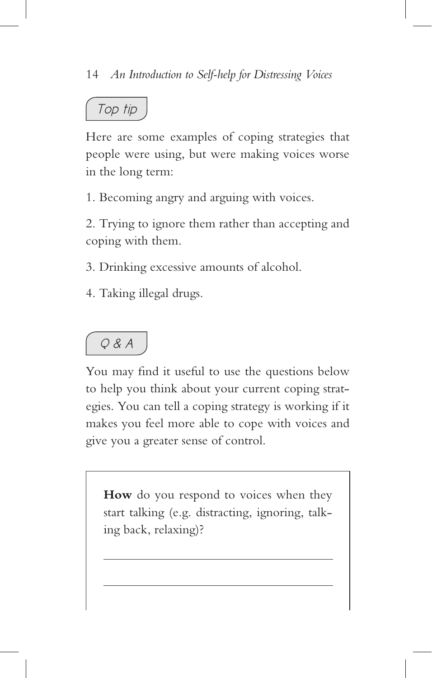## *Top tip*

Here are some examples of coping strategies that people were using, but were making voices worse in the long term:

1. Becoming angry and arguing with voices.

2. Trying to ignore them rather than accepting and coping with them.

3. Drinking excessive amounts of alcohol.

4. Taking illegal drugs.

## *Q & A*

You may find it useful to use the questions below to help you think about your current coping strategies. You can tell a coping strategy is working if it makes you feel more able to cope with voices and give you a greater sense of control.

How do you respond to voices when they start talking (e.g. distracting, ignoring, talking back, relaxing)?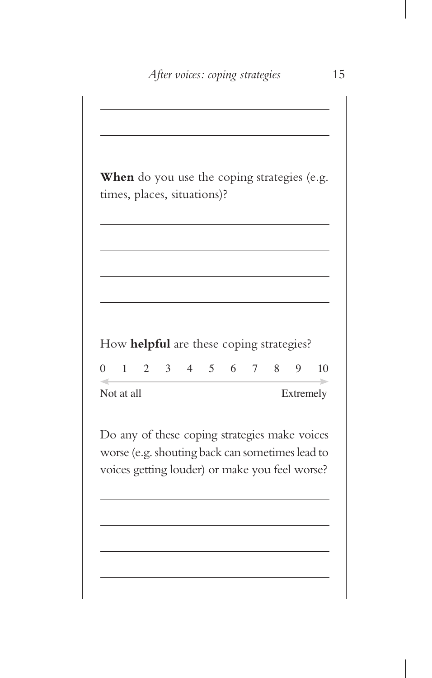**When** do you use the coping strategies (e.g. times, places, situations)? How **helpful** are these coping strategies? 0 1 2 3 4 5 6 7 8 9 10 Not at all Extremely Do any of these coping strategies make voices worse (e.g. shouting back can sometimes lead to voices getting louder) or make you feel worse?